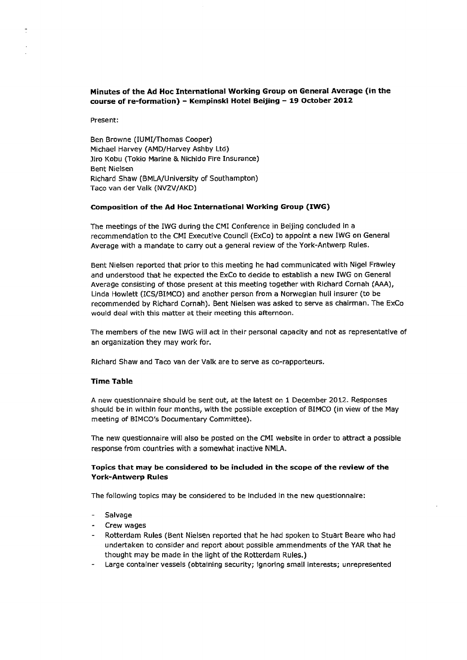# **Minutes of the Ad Hoc International Working Group on General Average (in the course of re-formation) — Kempinski Hotel Beijing — 19 October 2012**

Present:

Ben Browne (IUMI/Thomas Cooper) Michael Harvey (AMD/Harvey Ashby Ltd) Jiro Kobu (Tokio Marine & Nichido Fire Insurance) Bent Nielsen Richard Shaw (BMLA/University of Southampton) Taco van der Valk (NVZV/AKD)

#### **Composition of the Ad Hoc International Working Group (IWG)**

The meetings of the IWG during the CMI Conference in Beijing concluded in a recommendation to the CMI Executive Council (ExCo) to appoint a new IWG on General Average with a mandate to carry out a general review of the York-Antwerp Rules.

Bent Nielsen reported that prior to this meeting he had communicated with Nigel Frawley and understood that he expected the ExCo to decide to establish a new IWG on General Average consisting of those present at this meeting together with Richard Cornah (AAA), Linda Howlett (ICS/BIMCO) and another person from a Norwegian hull insurer (to be recommended by Richard Cornah). Bent Nielsen was asked to serve as chairman. The ExCo would deaf with this matter at their meeting this afternoon.

The members of the new IWG will act in their personal capacity and not as representative of an organization they may work for.

Richard Shaw and Taco van der Valk are to serve as co-rapporteurs.

#### **Time Table**

A new questionnaire should be sent out, at the latest on 1 December 2012\_ Responses should be in within four months, with the possible exception of BIMCO (in view of the May meeting of BIMCO's Documentary Committee).

The new questionnaire will also be posted on the CMI website in order to attract a possible response from countries with a somewhat inactive NMLA.

### **Topics that may be considered to be included in the scope of the review of the York-Antwerp Rules**

The following topics may be considered to be included In the new questionnaire:

- **Salvage**
- Crew wages
- Rotterdam Rules (Bent Nielsen reported that he had spoken to Stuart Beare who had undertaken to consider and report about possible ammendments of the YAR that he thought may be made in the light of the Rotterdam Rules.)
- Large container vessels (obtaining security; ignoring small interests; unrepresented